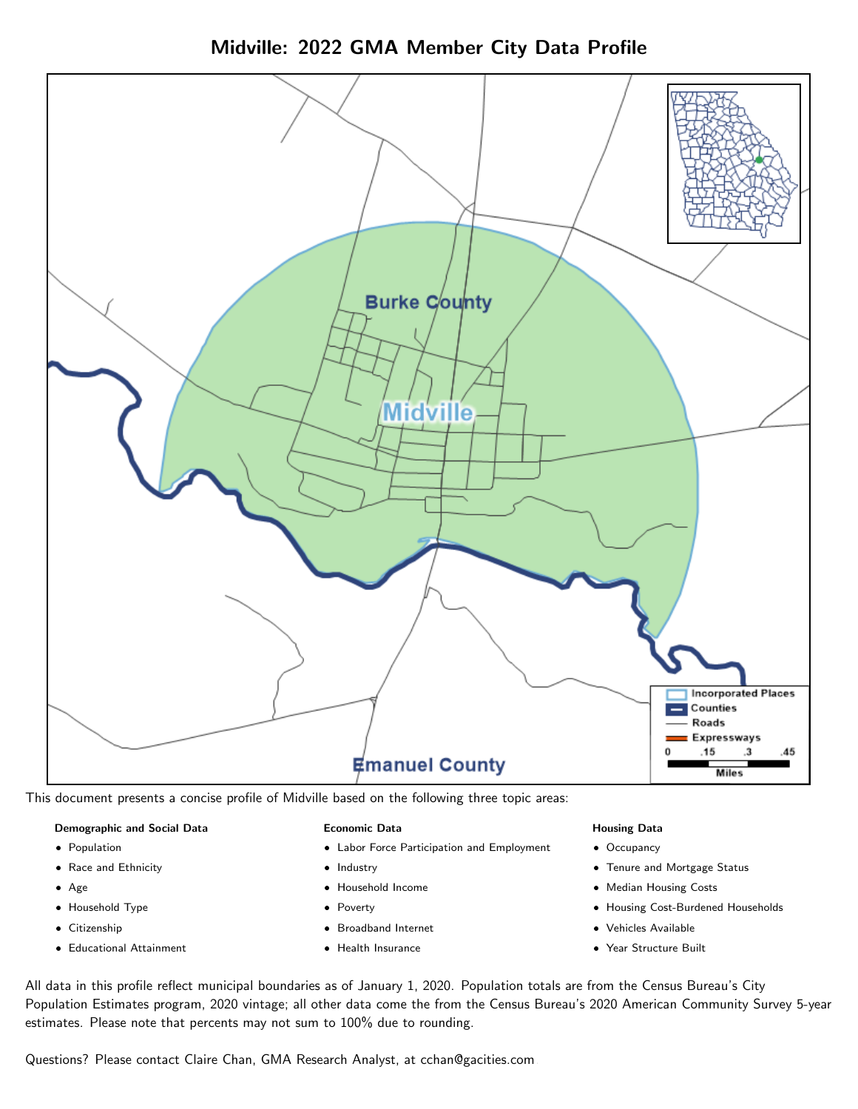Midville: 2022 GMA Member City Data Profile



This document presents a concise profile of Midville based on the following three topic areas:

#### Demographic and Social Data

- **•** Population
- Race and Ethnicity
- Age
- Household Type
- **Citizenship**
- Educational Attainment

#### Economic Data

- Labor Force Participation and Employment
- Industry
- Household Income
- Poverty
- Broadband Internet
- Health Insurance

#### Housing Data

- Occupancy
- Tenure and Mortgage Status
- Median Housing Costs
- Housing Cost-Burdened Households
- Vehicles Available
- Year Structure Built

All data in this profile reflect municipal boundaries as of January 1, 2020. Population totals are from the Census Bureau's City Population Estimates program, 2020 vintage; all other data come the from the Census Bureau's 2020 American Community Survey 5-year estimates. Please note that percents may not sum to 100% due to rounding.

Questions? Please contact Claire Chan, GMA Research Analyst, at [cchan@gacities.com.](mailto:cchan@gacities.com)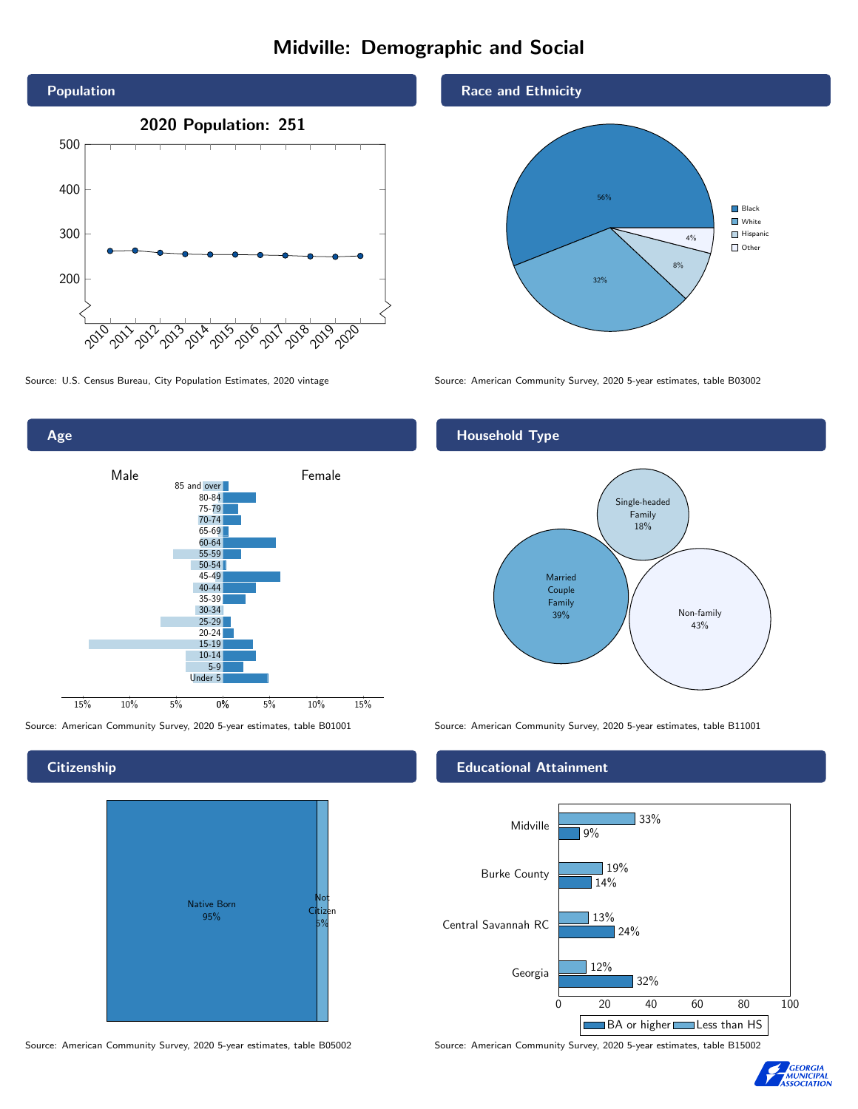## Midville: Demographic and Social





## **Citizenship**



Source: American Community Survey, 2020 5-year estimates, table B05002 Source: American Community Survey, 2020 5-year estimates, table B15002

## Race and Ethnicity



Source: U.S. Census Bureau, City Population Estimates, 2020 vintage Source: American Community Survey, 2020 5-year estimates, table B03002

## Household Type



Source: American Community Survey, 2020 5-year estimates, table B01001 Source: American Community Survey, 2020 5-year estimates, table B11001

### Educational Attainment



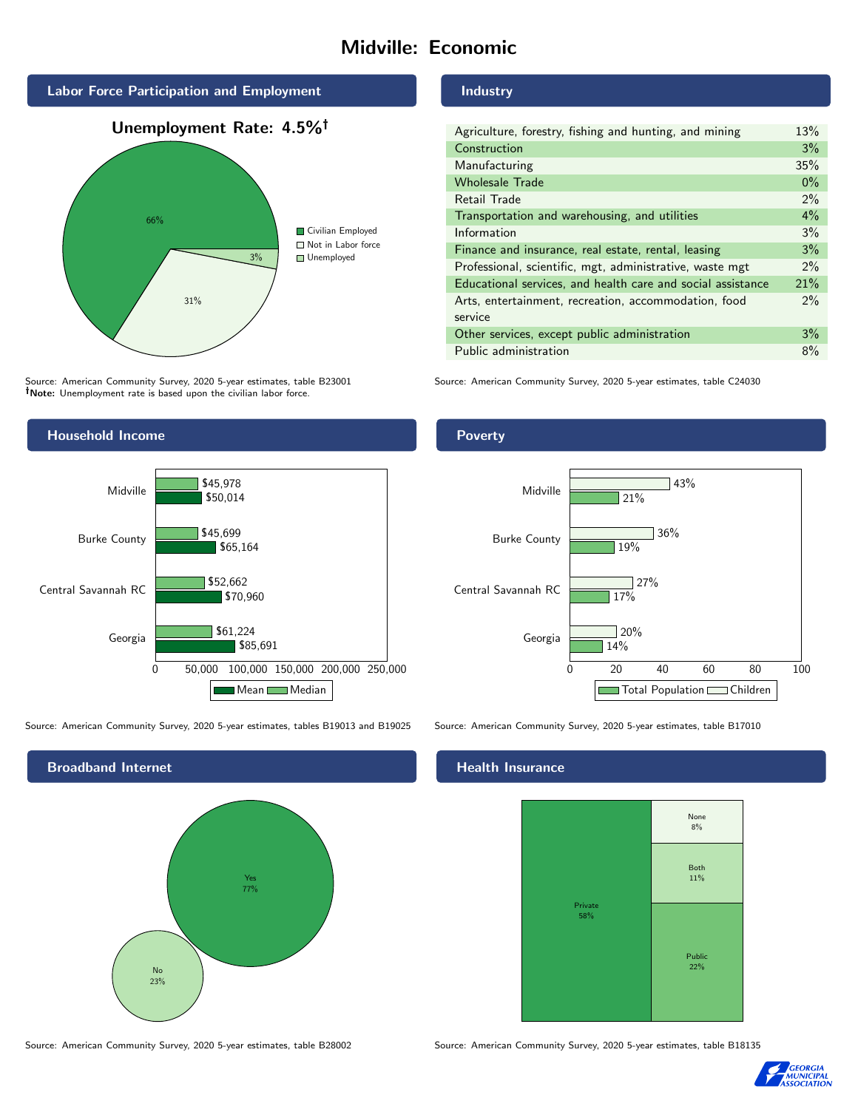## Midville: Economic



Source: American Community Survey, 2020 5-year estimates, table B23001 Note: Unemployment rate is based upon the civilian labor force.

## Household Income 0 50,000 100,000 150,000 200,000 250,000 Georgia Central Savannah RC Burke County Midville \$85,691 \$70,960 \$65,164 \$50,014 \$61,224 \$52,662 \$45,699 \$45,978 Mean Median

Source: American Community Survey, 2020 5-year estimates, tables B19013 and B19025 Source: American Community Survey, 2020 5-year estimates, table B17010



Industry

| Agriculture, forestry, fishing and hunting, and mining      | 13%   |
|-------------------------------------------------------------|-------|
| Construction                                                | 3%    |
| Manufacturing                                               | 35%   |
| <b>Wholesale Trade</b>                                      | $0\%$ |
| Retail Trade                                                | $2\%$ |
| Transportation and warehousing, and utilities               | $4\%$ |
| Information                                                 | 3%    |
| Finance and insurance, real estate, rental, leasing         | 3%    |
| Professional, scientific, mgt, administrative, waste mgt    | $2\%$ |
| Educational services, and health care and social assistance | 21%   |
| Arts, entertainment, recreation, accommodation, food        | $2\%$ |
| service                                                     |       |
| Other services, except public administration                | 3%    |
| Public administration                                       | 8%    |

Source: American Community Survey, 2020 5-year estimates, table C24030





## Health Insurance



Source: American Community Survey, 2020 5-year estimates, table B28002 Source: American Community Survey, 2020 5-year estimates, table B18135